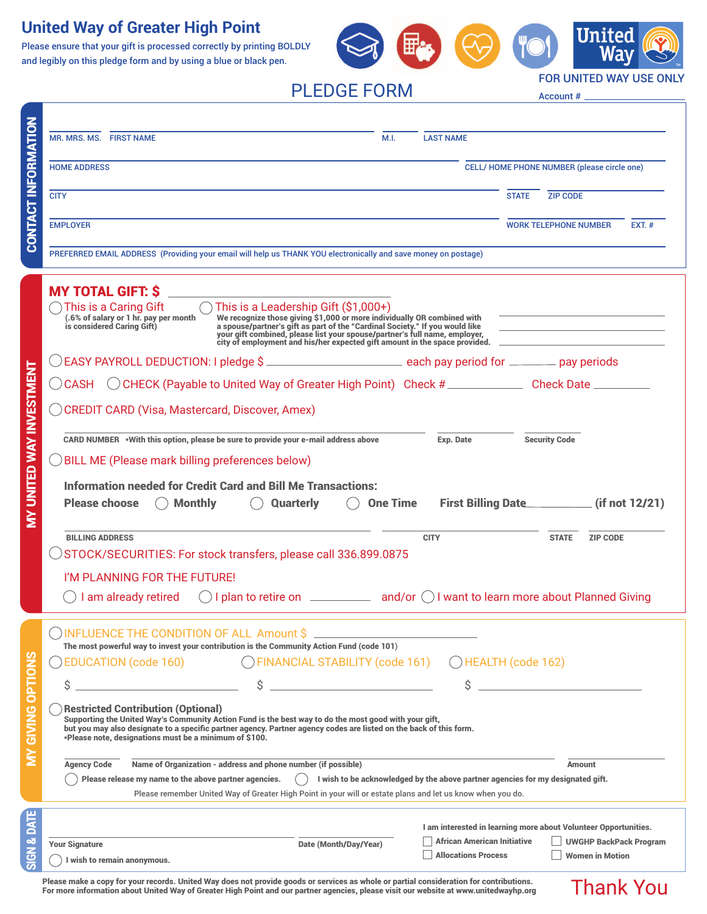# **United Way of Greater High Point**

Please ensure that your gift is processed correctly by printing BOLDLY and legibly on this pledge form and by using a blue or black pen.



PLEDGE FORM

FOR UNITED WAY USE ONLY

Thank You

Account #

|                                 | M.I.<br><b>MR. MRS. MS. FIRST NAME</b>                                                                                                                                                                                                                                                                                                                         | <b>LAST NAME</b>                                                |                                                    |                               |          |
|---------------------------------|----------------------------------------------------------------------------------------------------------------------------------------------------------------------------------------------------------------------------------------------------------------------------------------------------------------------------------------------------------------|-----------------------------------------------------------------|----------------------------------------------------|-------------------------------|----------|
| CONTACT INFORMATION             | <b>HOME ADDRESS</b>                                                                                                                                                                                                                                                                                                                                            |                                                                 | <b>CELL/ HOME PHONE NUMBER (please circle one)</b> |                               |          |
|                                 | <b>CITY</b>                                                                                                                                                                                                                                                                                                                                                    |                                                                 | <b>ZIP CODE</b><br><b>STATE</b>                    |                               |          |
|                                 | <b>EMPLOYER</b>                                                                                                                                                                                                                                                                                                                                                |                                                                 | <b>WORK TELEPHONE NUMBER</b>                       |                               | $EXT.$ # |
|                                 | PREFERRED EMAIL ADDRESS (Providing your email will help us THANK YOU electronically and save money on postage)                                                                                                                                                                                                                                                 |                                                                 |                                                    |                               |          |
|                                 | <b>MY TOTAL GIFT: \$</b><br>This is a Caring Gift<br>$\bigcirc$ This is a Leadership Gift (\$1,000+)<br>We recognize those giving \$1,000 or more individually OR combined with<br>a spouse/partner's gift as part of the "Cardinal Society." If you would like<br>(.6% of salary or 1 hr. pay per month<br>is considered Caring Gift)                         |                                                                 |                                                    |                               |          |
|                                 | your gift combined, please list your spouse/partner's full name, employer,<br>city of employment and his/her expected gift amount in the space provided.                                                                                                                                                                                                       |                                                                 |                                                    |                               |          |
|                                 | CEASY PAYROLL DEDUCTION: I pledge \$                                                                                                                                                                                                                                                                                                                           |                                                                 |                                                    |                               |          |
|                                 | CHECK (Payable to United Way of Greater High Point) Check #_________________ Check Date ___________<br>( ) CASH<br>C CREDIT CARD (Visa, Mastercard, Discover, Amex)                                                                                                                                                                                            |                                                                 |                                                    |                               |          |
|                                 | CARD NUMBER ∗With this option, please be sure to provide your e-mail address above<br>Exp. Date<br><b>Security Code</b><br>$\bigcirc$ BILL ME (Please mark billing preferences below)                                                                                                                                                                          |                                                                 |                                                    |                               |          |
| <b>MY UNITED WAY INVESTMENT</b> | Information needed for Credit Card and Bill Me Transactions:<br><b>Please choose</b><br><b>Monthly</b><br><b>One Time</b><br><b>Quarterly</b>                                                                                                                                                                                                                  |                                                                 |                                                    |                               |          |
|                                 | <b>BILLING ADDRESS</b><br><b>CITY</b><br>STOCK/SECURITIES: For stock transfers, please call 336.899.0875                                                                                                                                                                                                                                                       |                                                                 | <b>STATE</b>                                       | <b>ZIP CODE</b>               |          |
|                                 | I'M PLANNING FOR THE FUTURE!                                                                                                                                                                                                                                                                                                                                   |                                                                 |                                                    |                               |          |
|                                 | I am already retired                                                                                                                                                                                                                                                                                                                                           |                                                                 |                                                    |                               |          |
|                                 | <b>INFLUENCE THE CONDITION OF ALL Amount \$</b><br>The most powerful way to invest your contribution is the Community Action Fund (code 101)                                                                                                                                                                                                                   |                                                                 |                                                    |                               |          |
| б                               | ◯ FINANCIAL STABILITY (code 161)<br>EDUCATION (code 160)<br>()HEALTH (code 162)                                                                                                                                                                                                                                                                                |                                                                 |                                                    |                               |          |
|                                 | Ś<br>\$                                                                                                                                                                                                                                                                                                                                                        | \$                                                              |                                                    |                               |          |
| <b>FLAO SNIKE</b>               | <b>Restricted Contribution (Optional)</b><br>Supporting the United Way's Community Action Fund is the best way to do the most good with your gift,<br>but you may also designate to a specific partner agency. Partner agency codes are listed on the back of this form.<br>*Please note, designations must be a minimum of \$100.                             |                                                                 |                                                    |                               |          |
|                                 | Name of Organization - address and phone number (if possible)<br><b>Agency Code</b><br><b>Amount</b><br>Please release my name to the above partner agencies.<br>I wish to be acknowledged by the above partner agencies for my designated gift.<br>Please remember United Way of Greater High Point in your will or estate plans and let us know when you do. |                                                                 |                                                    |                               |          |
|                                 |                                                                                                                                                                                                                                                                                                                                                                | I am interested in learning more about Volunteer Opportunities. |                                                    |                               |          |
|                                 | Date (Month/Day/Year)<br><b>Your Signature</b>                                                                                                                                                                                                                                                                                                                 | <b>African American Initiative</b>                              |                                                    | <b>UWGHP BackPack Program</b> |          |
|                                 | I wish to remain anonymous.                                                                                                                                                                                                                                                                                                                                    | <b>Allocations Process</b>                                      |                                                    | <b>Women in Motion</b>        |          |

Please make a copy for your records. United Way does not provide goods or services as whole or partial consideration for contributions. For more information about United Way of Greater High Point and our partner agencies, please visit our website at www.unitedwayhp.org